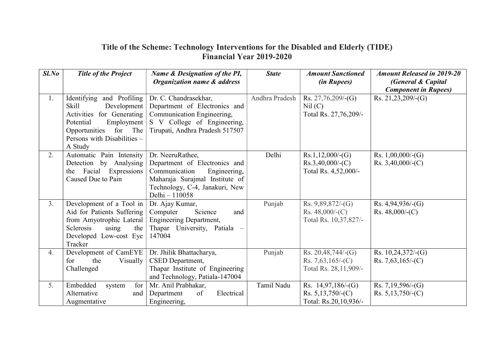## Title of the Scheme: Technology Interventions for the Disabled and Elderly (TIDE) Financial Year 2019-2020

| $Sl$ .No | <b>Title of the Project</b>                                                                                                                                                                | Name & Designation of the PI,                                                                                                                                            | <b>State</b>   | <b>Amount Sanctioned</b>                                            | <b>Amount Released in 2019-20</b>                  |
|----------|--------------------------------------------------------------------------------------------------------------------------------------------------------------------------------------------|--------------------------------------------------------------------------------------------------------------------------------------------------------------------------|----------------|---------------------------------------------------------------------|----------------------------------------------------|
|          |                                                                                                                                                                                            | <b>Organization name &amp; address</b>                                                                                                                                   |                | (in Rupees)                                                         | (General & Capital<br><b>Component in Rupees</b> ) |
| 1.       | Identifying and Profiling<br><b>Skill</b><br>Development $ $<br>Activities for Generating<br>Potential<br>Employment<br>for The<br>Opportunities<br>Persons with Disabilities -<br>A Study | Dr. C. Chandrasekhar,<br>Department of Electronics and<br>Communication Engineering,<br>S V College of Engineering,<br>Tirupati, Andhra Pradesh 517507                   | Andhra Pradesh | Rs. $27,76,209$ /-(G)<br>Nil (C)<br>Total Rs. 27,76,209/-           | Rs. $21,23,209$ /-(G)                              |
| 2.       | Automatic Pain Intensity<br>Detection by Analysing<br>Facial<br>Expressions  <br>the<br>Caused Due to Pain                                                                                 | Dr. NeeruRathee,<br>Department of Electronics and<br>Communication<br>Engineering,<br>Maharaja Surajmal Institute of<br>Technology, C-4, Janakuri, New<br>Delhi - 110058 | Delhi          | Rs.1,12,000/(G)<br>$Rs.3,40,000/-(C)$<br>Total Rs. 4,52,000/-       | Rs. $1,00,000$ /-(G)<br>Rs. $3,40,000/$ -(C)       |
| 3.       | Development of a Tool in<br>Aid for Patients Suffering<br>from Amyotrophic Lateral<br>Sclerosis<br>using<br>the<br>Developed Low-cost Eye<br>Tracker                                       | Dr. Ajay Kumar,<br>Science<br>Computer<br>and<br><b>Engineering Department,</b><br>Thapar University, Patiala -<br>147004                                                | Punjab         | Rs. $9,89,872/-(G)$<br>Rs. $48,000/-(C)$<br>Total Rs. 10,37,827/-   | Rs. $4,94,936/-(G)$<br>Rs. $48,000/-(C)$           |
| 4.       | Development of CamEYE<br>for<br>the<br>Visually<br>Challenged                                                                                                                              | Dr. Jhilik Bhattacharya,<br>CSED Department,<br>Thapar Institute of Engineering<br>and Technology, Patiala-147004                                                        | Punjab         | Rs. $20,48,744/(G)$<br>Rs. 7,63,165/-(C)<br>Total Rs. 28,11,909/-   | Rs. $10,24,372$ /-(G)<br>Rs. $7,63,165/-(C)$       |
| 5.       | Embedded<br>for<br>system<br>Alternative<br>and<br>Augmentative                                                                                                                            | Mr. Anil Prabhakar,<br>Department<br>Electrical<br>of<br>Engineering,                                                                                                    | Tamil Nadu     | Rs. $14,97,186/(G)$<br>Rs. $5,13,750/-(C)$<br>Total: Rs.20,10,936/- | Rs. 7,19,596/-(G)<br>Rs. $5,13,750/$ -(C)          |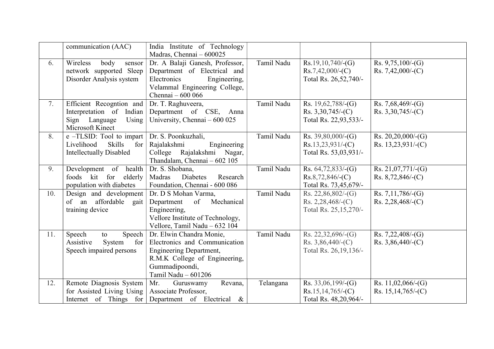|     | communication (AAC)                                                                                                    | India Institute of Technology<br>Madras, Chennai - 600025                                                                                                             |            |                                                                        |                                               |
|-----|------------------------------------------------------------------------------------------------------------------------|-----------------------------------------------------------------------------------------------------------------------------------------------------------------------|------------|------------------------------------------------------------------------|-----------------------------------------------|
| 6.  | Wireless<br>body<br>sensor<br>network supported Sleep<br>Disorder Analysis system                                      | Dr. A Balaji Ganesh, Professor,<br>Department of Electrical and<br>Electronics<br>Engineering,<br>Velammal Engineering College,<br>Chennai - 600 066                  | Tamil Nadu | $Rs.19,10,740/-(G)$<br>$Rs.7,42,000/$ - $(C)$<br>Total Rs. 26,52,740/- | Rs. $9,75,100$ /-(G)<br>Rs. 7,42,000/-(C)     |
| 7.  | Efficient Recognition and<br>Interpretation of Indian<br>Sign Language<br>Using<br>Microsoft Kinect                    | Dr. T. Raghuveera,<br>Department of CSE, Anna<br>University, Chennai – 600 025                                                                                        | Tamil Nadu | Rs. $19,62,788$ /-(G)<br>Rs. $3,30,745/$ -(C)<br>Total Rs. 22,93,533/- | Rs. 7,68,469/-(G)<br>Rs. $3,30,745/$ -(C)     |
| 8.  | $\overline{e$ -TLSID: Tool to impart  <br>Livelihood<br><b>Skills</b><br>$for \vert$<br><b>Intellectually Disabled</b> | Dr. S. Poonkuzhali,<br>Rajalakshmi<br>Engineering<br>College Rajalakshmi Nagar,<br>Thandalam, Chennai - 602 105                                                       | Tamil Nadu | Rs. $39,80,000/$ -(G)<br>$Rs.13,23,931/-(C)$<br>Total Rs. 53,03,931/-  | Rs. $20,20,000/$ -(G)<br>Rs. 13,23,931/-(C)   |
| 9.  | Development of health<br>foods kit for<br>elderly  <br>population with diabetes                                        | Dr. S. Shobana,<br>Madras<br>Diabetes<br>Research<br>Foundation, Chennai - 600 086                                                                                    | Tamil Nadu | Rs. $64,72,833/-(G)$<br>$Rs.8,72,846/-(C)$<br>Total Rs. 73,45,679/-    | Rs. $21,07,771/-(G)$<br>Rs. $8,72,846$ /-(C)  |
| 10. | Design and development<br>of an affordable gait<br>training device                                                     | Dr. D S Mohan Varma,<br>of Mechanical<br>Department<br>Engineering,<br>Vellore Institute of Technology,<br>Vellore, Tamil Nadu - 632 104                              | Tamil Nadu | Rs. $22,86,802/-(G)$<br>Rs. 2,28,468/-(C)<br>Total Rs. 25, 15, 270/-   | Rs. $7,11,786$ /-(G)<br>Rs. 2,28,468/-(C)     |
| 11. | Speech<br>Speech $ $<br>to<br>Assistive<br>System<br>for $ $<br>Speech impaired persons                                | Dr. Elwin Chandra Monie,<br>Electronics and Communication<br><b>Engineering Department,</b><br>R.M.K College of Engineering,<br>Gummadipoondi,<br>Tamil Nadu - 601206 | Tamil Nadu | Rs. $22,32,696/-(G)$<br>Rs. $3,86,440/-(C)$<br>Total Rs. 26, 19, 136/- | Rs. 7,22,408/-(G)<br>Rs. $3,86,440/-(C)$      |
| 12. | Remote Diagnosis System<br>for Assisted Living Using                                                                   | Mr.<br>Revana,<br>Guruswamy<br>Associate Professor,<br>Internet of Things for Department of Electrical $\&$                                                           | Telangana  | Rs. $33,06,199/$ -(G)<br>$Rs.15,14,765/-(C)$<br>Total Rs. 48,20,964/-  | Rs. $11,02,066$ /-(G)<br>Rs. $15,14,765/-(C)$ |